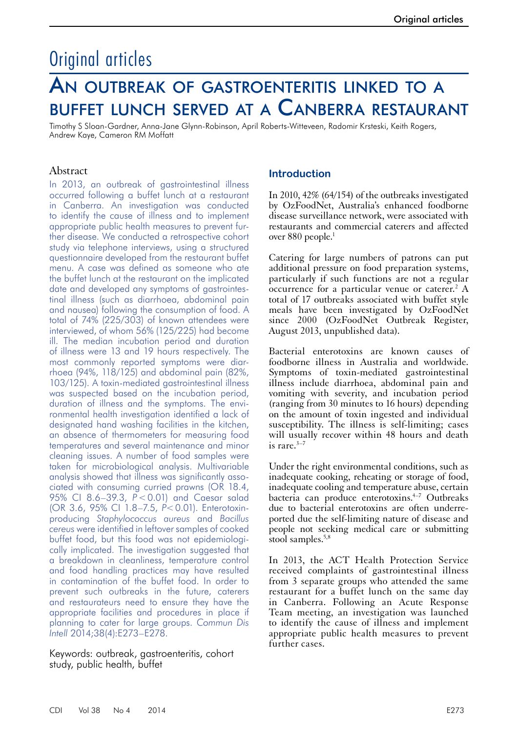# Original articles

# An outbreak of gastroenteritis linked to a buffet lunch served at a Canberra restaurant

Timothy S Sloan-Gardner, Anna-Jane Glynn-Robinson, April Roberts-Witteveen, Radomir Krsteski, Keith Rogers, Andrew Kaye, Cameron RM Moffatt

#### Abstract

In 2013, an outbreak of gastrointestinal illness occurred following a buffet lunch at a restaurant in Canberra. An investigation was conducted to identify the cause of illness and to implement appropriate public health measures to prevent further disease. We conducted a retrospective cohort study via telephone interviews, using a structured questionnaire developed from the restaurant buffet menu. A case was defined as someone who ate the buffet lunch at the restaurant on the implicated date and developed any symptoms of gastrointestinal illness (such as diarrhoea, abdominal pain and nausea) following the consumption of food. A total of 74% (225/303) of known attendees were interviewed, of whom 56% (125/225) had become ill. The median incubation period and duration of illness were 13 and 19 hours respectively. The most commonly reported symptoms were diarrhoea (94%, 118/125) and abdominal pain (82%, 103/125). A toxin-mediated gastrointestinal illness was suspected based on the incubation period, duration of illness and the symptoms. The environmental health investigation identified a lack of designated hand washing facilities in the kitchen, an absence of thermometers for measuring food temperatures and several maintenance and minor cleaning issues. A number of food samples were taken for microbiological analysis. Multivariable analysis showed that illness was significantly associated with consuming curried prawns (OR 18.4, 95% CI 8.6–39.3, *P*<0.01) and Caesar salad (OR 3.6, 95% CI 1.8–7.5, *P*<0.01). Enterotoxinproducing *Staphylococcus aureus* and *Bacillus cereus* were identified in leftover samples of cooked buffet food, but this food was not epidemiologically implicated. The investigation suggested that a breakdown in cleanliness, temperature control and food handling practices may have resulted in contamination of the buffet food. In order to prevent such outbreaks in the future, caterers and restaurateurs need to ensure they have the appropriate facilities and procedures in place if planning to cater for large groups. *Commun Dis Intell* 2014;38(4):E273–E278.

Keywords: outbreak, gastroenteritis, cohort study, public health, buffet

#### **Introduction**

In 2010, 42% (64/154) of the outbreaks investigated by OzFoodNet, Australia's enhanced foodborne disease surveillance network, were associated with restaurants and commercial caterers and affected over 880 people.<sup>1</sup>

Catering for large numbers of patrons can put additional pressure on food preparation systems, particularly if such functions are not a regular  $\alpha$  occurrence for a particular venue or caterer.<sup>2</sup> A total of 17 outbreaks associated with buffet style meals have been investigated by OzFoodNet since 2000 (OzFoodNet Outbreak Register, August 2013, unpublished data).

Bacterial enterotoxins are known causes of foodborne illness in Australia and worldwide. Symptoms of toxin-mediated gastrointestinal illness include diarrhoea, abdominal pain and vomiting with severity, and incubation period (ranging from 30 minutes to 16 hours) depending on the amount of toxin ingested and individual susceptibility. The illness is self-limiting; cases will usually recover within 48 hours and death is rare. $3-7$ 

Under the right environmental conditions, such as inadequate cooking, reheating or storage of food, inadequate cooling and temperature abuse, certain bacteria can produce enterotoxins.<sup>4-7</sup> Outbreaks due to bacterial enterotoxins are often underreported due the self-limiting nature of disease and people not seeking medical care or submitting stool samples.5,8

In 2013, the ACT Health Protection Service received complaints of gastrointestinal illness from 3 separate groups who attended the same restaurant for a buffet lunch on the same day in Canberra. Following an Acute Response Team meeting, an investigation was launched to identify the cause of illness and implement appropriate public health measures to prevent further cases.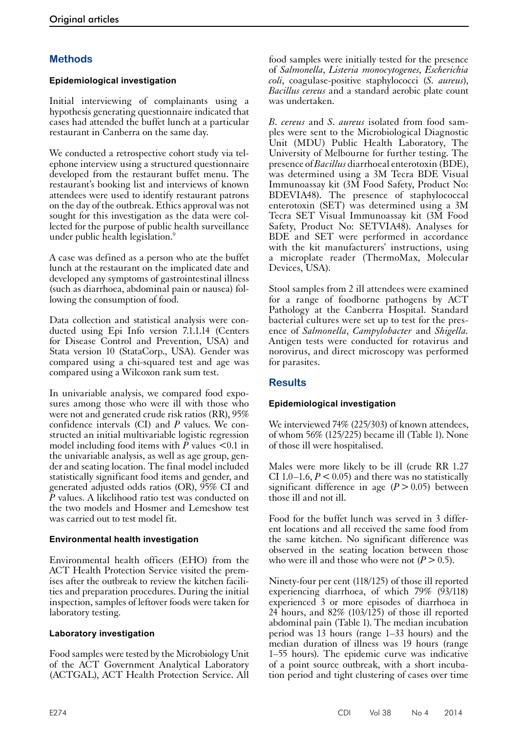## **Methods**

## **Epidemiological investigation**

Initial interviewing of complainants using a hypothesis generating questionnaire indicated that cases had attended the buffet lunch at a particular restaurant in Canberra on the same day.

We conducted a retrospective cohort study via telephone interview using a structured questionnaire developed from the restaurant buffet menu. The restaurant's booking list and interviews of known attendees were used to identify restaurant patrons on the day of the outbreak. Ethics approval was not sought for this investigation as the data were collected for the purpose of public health surveillance under public health legislation.<sup>9</sup>

A case was defined as a person who ate the buffet lunch at the restaurant on the implicated date and developed any symptoms of gastrointestinal illness (such as diarrhoea, abdominal pain or nausea) following the consumption of food.

Data collection and statistical analysis were conducted using Epi Info version 7.1.1.14 (Centers for Disease Control and Prevention, USA) and Stata version 10 (StataCorp., USA). Gender was compared using a chi-squared test and age was compared using a Wilcoxon rank sum test.

In univariable analysis, we compared food exposures among those who were ill with those who were not and generated crude risk ratios (RR), 95% confidence intervals (CI) and *P* values. We constructed an initial multivariable logistic regression model including food items with  $P$  values  $\leq 0.1$  in the univariable analysis, as well as age group, gen- der and seating location. The final model included statistically significant food items and gender, and generated adjusted odds ratios (OR), 95% CI and *P* values. A likelihood ratio test was conducted on the two models and Hosmer and Lemeshow test was carried out to test model fit.

#### **Environmental health investigation**

Environmental health officers (EHO) from the ACT Health Protection Service visited the premises after the outbreak to review the kitchen facili- ties and preparation procedures. During the initial inspection, samples of leftover foods were taken for laboratory testing.

#### **Laboratory investigation**

Food samples were tested by the Microbiology Unit of the ACT Government Analytical Laboratory (ACTGAL), ACT Health Protection Service. All

food samples were initially tested for the presence of *Salmonella*, *Listeria monocytogenes*, *Escherichia coli*, coagulase-positive staphylococci (*S. aureus*), *Bacillus cereus* and a standard aerobic plate count was undertaken.

*B. cereus* and *S. aureus* isolated from food samples were sent to the Microbiological Diagnostic Unit (MDU) Public Health Laboratory, The University of Melbourne for further testing. The presence of *Bacillus* diarrhoeal enterotoxin (BDE), was determined using a 3M Tecra BDE Visual Immunoassay kit (3M Food Safety, Product No: BDEVIA48). The presence of staphylococcal enterotoxin (SET) was determined using a 3M Tecra SET Visual Immunoassay kit (3M Food Safety, Product No: SETVIA48). Analyses for BDE and SET were performed in accordance with the kit manufacturers' instructions, using a microplate reader (ThermoMax, Molecular Devices, USA).

Stool samples from 2 ill attendees were examined for a range of foodborne pathogens by ACT Pathology at the Canberra Hospital. Standard bacterial cultures were set up to test for the presence of *Salmonella*, *Campylobacter* and *Shigella.* Antigen tests were conducted for rotavirus and norovirus, and direct microscopy was performed for parasites.

## **Results**

## **Epidemiological investigation**

We interviewed 74% (225/303) of known attendees. of whom 56% (125/225) became ill (Table 1). None of those ill were hospitalised.

Males were more likely to be ill (crude RR 1.27 CI 1.0–1.6,  $P < 0.05$ ) and there was no statistically significant difference in age  $(P > 0.05)$  between those ill and not ill.

Food for the buffet lunch was served in 3 different locations and all received the same food from the same kitchen. No significant difference was observed in the seating location between those who were ill and those who were not  $(P > 0.5)$ .

Ninety-four per cent (118/125) of those ill reported experiencing diarrhoea, of which 79% (93/118) experienced 3 or more episodes of diarrhoea in 24 hours, and  $82\%$  (103/125) of those ill reported abdominal pain (Table 1). The median incubation period was 13 hours (range 1–33 hours) and the median duration of illness was 19 hours (range 1–55 hours). The epidemic curve was indicative of a point source outbreak, with a short incubation period and tight clustering of cases over time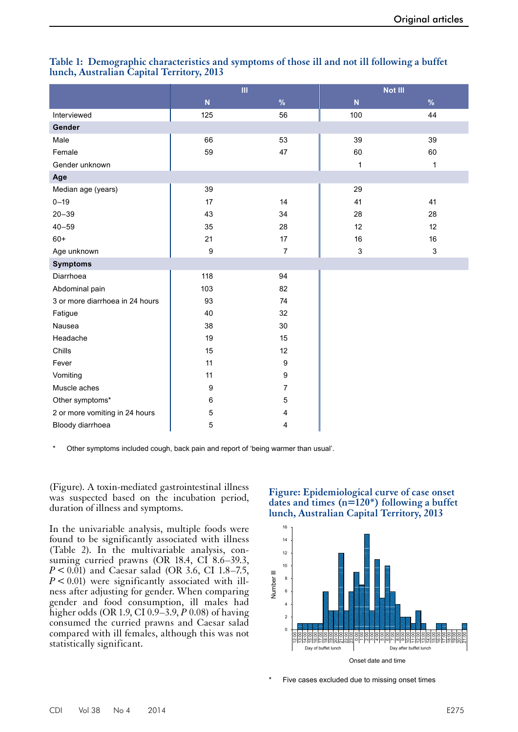|                                 | III              |                | Not III                 |              |  |
|---------------------------------|------------------|----------------|-------------------------|--------------|--|
|                                 | N                | $\%$           | $\overline{\mathsf{N}}$ | %            |  |
| Interviewed                     | 125              | 56             | 100                     | 44           |  |
| Gender                          |                  |                |                         |              |  |
| Male                            | 66               | 53             | 39                      | 39           |  |
| Female                          | 59               | 47             | 60                      | 60           |  |
| Gender unknown                  |                  |                | $\mathbf{1}$            | $\mathbf{1}$ |  |
| Age                             |                  |                |                         |              |  |
| Median age (years)              | 39               |                | 29                      |              |  |
| $0 - 19$                        | 17               | 14             | 41                      | 41           |  |
| $20 - 39$                       | 43               | 34             | 28                      | 28           |  |
| $40 - 59$                       | 35               | 28             | 12                      | 12           |  |
| $60+$                           | 21               | 17             | 16                      | 16           |  |
| Age unknown                     | $\boldsymbol{9}$ | $\overline{7}$ | $\mathbf{3}$            | $\mathsf 3$  |  |
| <b>Symptoms</b>                 |                  |                |                         |              |  |
| Diarrhoea                       | 118              | 94             |                         |              |  |
| Abdominal pain                  | 103              | 82             |                         |              |  |
| 3 or more diarrhoea in 24 hours | 93               | 74             |                         |              |  |
| Fatigue                         | 40               | 32             |                         |              |  |
| Nausea                          | 38               | 30             |                         |              |  |
| Headache                        | 19               | 15             |                         |              |  |
| Chills                          | 15               | 12             |                         |              |  |
| Fever                           | 11               | 9              |                         |              |  |
| Vomiting                        | 11               | 9              |                         |              |  |
| Muscle aches                    | $\boldsymbol{9}$ | $\overline{7}$ |                         |              |  |
| Other symptoms*                 | 6                | 5              |                         |              |  |
| 2 or more vomiting in 24 hours  | 5                | 4              |                         |              |  |
| Bloody diarrhoea                | 5                | 4              |                         |              |  |

#### **Table 1: Demographic characteristics and symptoms of those ill and not ill following a buffet lunch, Australian Capital Territory, 2013**

Other symptoms included cough, back pain and report of 'being warmer than usual'.

(Figure). A toxin-mediated gastrointestinal illness was suspected based on the incubation period, duration of illness and symptoms.

In the univariable analysis, multiple foods were found to be significantly associated with illness (Table 2). In the multivariable analysis, consuming curried prawns (OR 18.4, CI 8.6–39.3, *P* < 0.01) and Caesar salad (OR 3.6, CI 1.8–7.5,  $P < 0.01$ ) were significantly associated with ill-<br>ness after adjusting for gender. When comparing gender and food consumption, ill males had higher odds (OR 1.9, CI 0.9–3.9, *P* 0.08) of having consumed the curried prawns and Caesar salad compared with ill females, although this was not statistically significant.

#### **Figure: Epidemiological curve of case onset dates and times (n=120\*) following a buffet lunch, Australian Capital Territory, 2013**



Five cases excluded due to missing onset times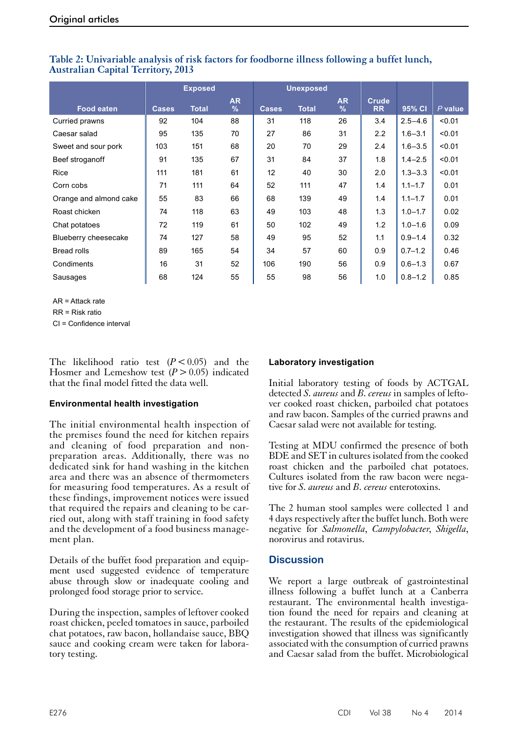|                        | <b>Exposed</b> |              |                   | <b>Unexposed</b> |              |                            |                           |             |           |
|------------------------|----------------|--------------|-------------------|------------------|--------------|----------------------------|---------------------------|-------------|-----------|
| <b>Food eaten</b>      | <b>Cases</b>   | <b>Total</b> | <b>AR</b><br>$\%$ | <b>Cases</b>     | <b>Total</b> | <b>AR</b><br>$\frac{9}{6}$ | <b>Crude</b><br><b>RR</b> | 95% CI      | $P$ value |
| Curried prawns         | 92             | 104          | 88                | 31               | 118          | 26                         | 3.4                       | $2.5 - 4.6$ | < 0.01    |
| Caesar salad           | 95             | 135          | 70                | 27               | 86           | 31                         | 2.2                       | $1.6 - 3.1$ | < 0.01    |
| Sweet and sour pork    | 103            | 151          | 68                | 20               | 70           | 29                         | 2.4                       | $1.6 - 3.5$ | < 0.01    |
| Beef stroganoff        | 91             | 135          | 67                | 31               | 84           | 37                         | 1.8                       | $1.4 - 2.5$ | < 0.01    |
| <b>Rice</b>            | 111            | 181          | 61                | 12               | 40           | 30                         | 2.0                       | $1.3 - 3.3$ | < 0.01    |
| Corn cobs              | 71             | 111          | 64                | 52               | 111          | 47                         | 1.4                       | $1.1 - 1.7$ | 0.01      |
| Orange and almond cake | 55             | 83           | 66                | 68               | 139          | 49                         | 1.4                       | $1.1 - 1.7$ | 0.01      |
| Roast chicken          | 74             | 118          | 63                | 49               | 103          | 48                         | 1.3                       | $1.0 - 1.7$ | 0.02      |
| Chat potatoes          | 72             | 119          | 61                | 50               | 102          | 49                         | 1.2                       | $1.0 - 1.6$ | 0.09      |
| Blueberry cheesecake   | 74             | 127          | 58                | 49               | 95           | 52                         | 1.1                       | $0.9 - 1.4$ | 0.32      |
| <b>Bread rolls</b>     | 89             | 165          | 54                | 34               | 57           | 60                         | 0.9                       | $0.7 - 1.2$ | 0.46      |
| Condiments             | 16             | 31           | 52                | 106              | 190          | 56                         | 0.9                       | $0.6 - 1.3$ | 0.67      |
| Sausages               | 68             | 124          | 55                | 55               | 98           | 56                         | 1.0                       | $0.8 - 1.2$ | 0.85      |

### **Table 2: Univariable analysis of risk factors for foodborne illness following a buffet lunch, Australian Capital Territory, 2013**

AR = Attack rate

RR = Risk ratio

CI = Confidence interval

The likelihood ratio test  $(P < 0.05)$  and the Hosmer and Lemeshow test  $(P > 0.05)$  indicated that the final model fitted the data well.

#### **Environmental health investigation**

The initial environmental health inspection of the premises found the need for kitchen repairs and cleaning of food preparation and nonpreparation areas. Additionally, there was no dedicated sink for hand washing in the kitchen area and there was an absence of thermometers for measuring food temperatures. As a result of these findings, improvement notices were issued that required the repairs and cleaning to be carried out, along with staff training in food safety and the development of a food business management plan.

Details of the buffet food preparation and equipment used suggested evidence of temperature abuse through slow or inadequate cooling and prolonged food storage prior to service.

During the inspection, samples of leftover cooked roast chicken, peeled tomatoes in sauce, parboiled chat potatoes, raw bacon, hollandaise sauce, BBQ sauce and cooking cream were taken for laboratory testing.

### **Laboratory investigation**

Initial laboratory testing of foods by ACTGAL detected *S. aureus* and *B. cereus* in samples of leftover cooked roast chicken, parboiled chat potatoes and raw bacon. Samples of the curried prawns and Caesar salad were not available for testing.

Testing at MDU confirmed the presence of both BDE and SET in cultures isolated from the cooked roast chicken and the parboiled chat potatoes. Cultures isolated from the raw bacon were nega- tive for *S. aureus* and *B. cereus* enterotoxins.

The 2 human stool samples were collected 1 and 4 days respectively after the buffet lunch. Both were negative for *Salmonella*, *Campylobacter*, *Shigella*, norovirus and rotavirus.

## **Discussion**

We report a large outbreak of gastrointestinal illness following a buffet lunch at a Canberra restaurant. The environmental health investigation found the need for repairs and cleaning at the restaurant. The results of the epidemiological investigation showed that illness was significantly associated with the consumption of curried prawns and Caesar salad from the buffet. Microbiological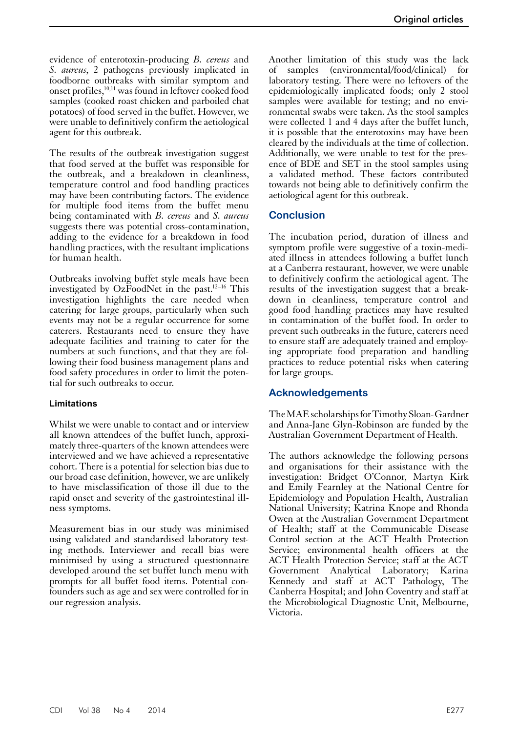evidence of enterotoxin-producing *B. cereus* and *S. aureus*, 2 pathogens previously implicated in foodborne outbreaks with similar symptom and onset profiles,<sup>10,11</sup> was found in leftover cooked food samples (cooked roast chicken and parboiled chat potatoes) of food served in the buffet. However, we were unable to definitively confirm the aetiological agent for this outbreak.

The results of the outbreak investigation suggest that food served at the buffet was responsible for the outbreak, and a breakdown in cleanliness, temperature control and food handling practices may have been contributing factors. The evidence for multiple food items from the buffet menu being contaminated with *B. cereus* and *S. aureus* suggests there was potential cross-contamination, adding to the evidence for a breakdown in food handling practices, with the resultant implications for human health.

Outbreaks involving buffet style meals have been investigated by OzFoodNet in the past.12–16 This investigation highlights the care needed when catering for large groups, particularly when such events may not be a regular occurrence for some caterers. Restaurants need to ensure they have adequate facilities and training to cater for the numbers at such functions, and that they are following their food business management plans and food safety procedures in order to limit the potential for such outbreaks to occur.

#### **Limitations**

Whilst we were unable to contact and or interview all known attendees of the buffet lunch, approxi- mately three-quarters of the known attendees were interviewed and we have achieved a representative cohort. There is a potential for selection bias due to our broad case definition, however, we are unlikely to have misclassification of those ill due to the rapid onset and severity of the gastrointestinal ill- ness symptoms.

Measurement bias in our study was minimised using validated and standardised laboratory testing methods. Interviewer and recall bias were minimised by using a structured questionnaire developed around the set buffet lunch menu with prompts for all buffet food items. Potential con- founders such as age and sex were controlled for in our regression analysis.

Another limitation of this study was the lack of samples (environmental/food/clinical) for laboratory testing. There were no leftovers of the epidemiologically implicated foods; only 2 stool samples were available for testing; and no environmental swabs were taken. As the stool samples were collected 1 and 4 days after the buffet lunch, it is possible that the enterotoxins may have been cleared by the individuals at the time of collection. Additionally, we were unable to test for the presence of BDE and SET in the stool samples using a validated method. These factors contributed towards not being able to definitively confirm the aetiological agent for this outbreak.

## **Conclusion**

The incubation period, duration of illness and symptom profile were suggestive of a toxin-mediated illness in attendees following a buffet lunch at a Canberra restaurant, however, we were unable to definitively confirm the aetiological agent. The results of the investigation suggest that a breakdown in cleanliness, temperature control and good food handling practices may have resulted in contamination of the buffet food. In order to prevent such outbreaks in the future, caterers need to ensure staff are adequately trained and employing appropriate food preparation and handling practices to reduce potential risks when catering for large groups.

## **Acknowledgements**

The MAE scholarships for Timothy Sloan-Gardner and Anna-Jane Glyn-Robinson are funded by the Australian Government Department of Health.

The authors acknowledge the following persons and organisations for their assistance with the investigation: Bridget O'Connor, Martyn Kirk and Emily Fearnley at the National Centre for Epidemiology and Population Health, Australian National University; Katrina Knope and Rhonda Owen at the Australian Government Department of Health; staff at the Communicable Disease Control section at the ACT Health Protection Service; environmental health officers at the ACT Health Protection Service; staff at the ACT Government Analytical Laboratory; Karina Kennedy and staff at ACT Pathology, The Canberra Hospital; and John Coventry and staff at the Microbiological Diagnostic Unit, Melbourne, Victoria.